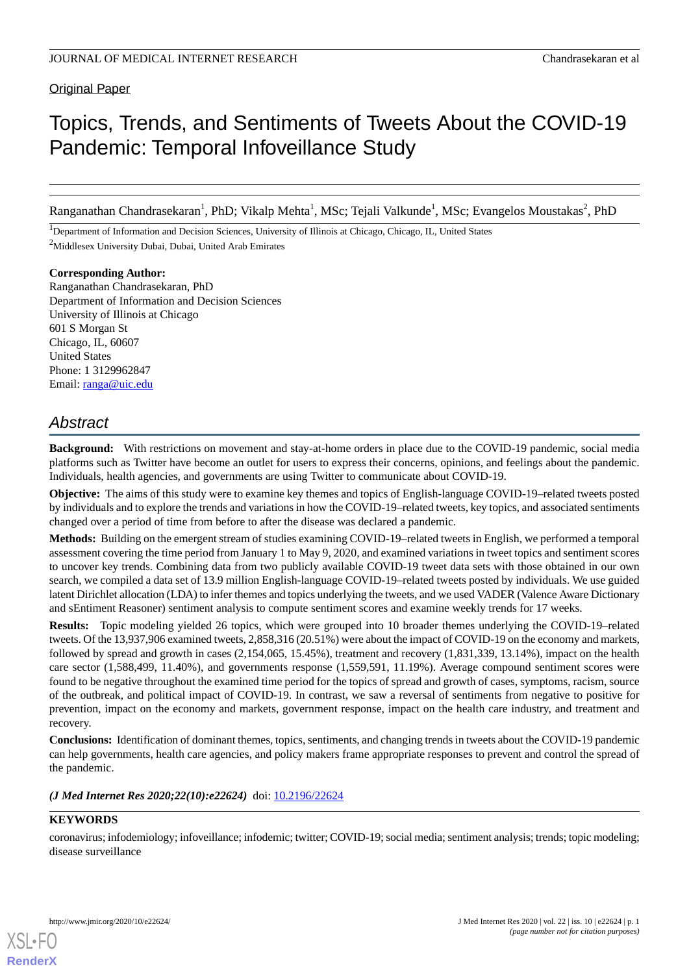**Original Paper** 

# Topics, Trends, and Sentiments of Tweets About the COVID-19 Pandemic: Temporal Infoveillance Study

Ranganathan Chandrasekaran<sup>1</sup>, PhD; Vikalp Mehta<sup>1</sup>, MSc; Tejali Valkunde<sup>1</sup>, MSc; Evangelos Moustakas<sup>2</sup>, PhD

<sup>1</sup>Department of Information and Decision Sciences, University of Illinois at Chicago, Chicago, IL, United States <sup>2</sup>Middlesex University Dubai, Dubai, United Arab Emirates

#### **Corresponding Author:**

Ranganathan Chandrasekaran, PhD Department of Information and Decision Sciences University of Illinois at Chicago 601 S Morgan St Chicago, IL, 60607 United States Phone: 1 3129962847 Email: [ranga@uic.edu](mailto:ranga@uic.edu)

## *Abstract*

**Background:** With restrictions on movement and stay-at-home orders in place due to the COVID-19 pandemic, social media platforms such as Twitter have become an outlet for users to express their concerns, opinions, and feelings about the pandemic. Individuals, health agencies, and governments are using Twitter to communicate about COVID-19.

**Objective:** The aims of this study were to examine key themes and topics of English-language COVID-19–related tweets posted by individuals and to explore the trends and variations in how the COVID-19–related tweets, key topics, and associated sentiments changed over a period of time from before to after the disease was declared a pandemic.

**Methods:** Building on the emergent stream of studies examining COVID-19–related tweets in English, we performed a temporal assessment covering the time period from January 1 to May 9, 2020, and examined variations in tweet topics and sentiment scores to uncover key trends. Combining data from two publicly available COVID-19 tweet data sets with those obtained in our own search, we compiled a data set of 13.9 million English-language COVID-19–related tweets posted by individuals. We use guided latent Dirichlet allocation (LDA) to infer themes and topics underlying the tweets, and we used VADER (Valence Aware Dictionary and sEntiment Reasoner) sentiment analysis to compute sentiment scores and examine weekly trends for 17 weeks.

**Results:** Topic modeling yielded 26 topics, which were grouped into 10 broader themes underlying the COVID-19–related tweets. Of the 13,937,906 examined tweets, 2,858,316 (20.51%) were about the impact of COVID-19 on the economy and markets, followed by spread and growth in cases (2,154,065, 15.45%), treatment and recovery (1,831,339, 13.14%), impact on the health care sector (1,588,499, 11.40%), and governments response (1,559,591, 11.19%). Average compound sentiment scores were found to be negative throughout the examined time period for the topics of spread and growth of cases, symptoms, racism, source of the outbreak, and political impact of COVID-19. In contrast, we saw a reversal of sentiments from negative to positive for prevention, impact on the economy and markets, government response, impact on the health care industry, and treatment and recovery.

**Conclusions:** Identification of dominant themes, topics, sentiments, and changing trends in tweets about the COVID-19 pandemic can help governments, health care agencies, and policy makers frame appropriate responses to prevent and control the spread of the pandemic.

*(J Med Internet Res 2020;22(10):e22624)* doi:  $10.2196/22624$ 

#### **KEYWORDS**

coronavirus; infodemiology; infoveillance; infodemic; twitter; COVID-19; social media; sentiment analysis; trends; topic modeling; disease surveillance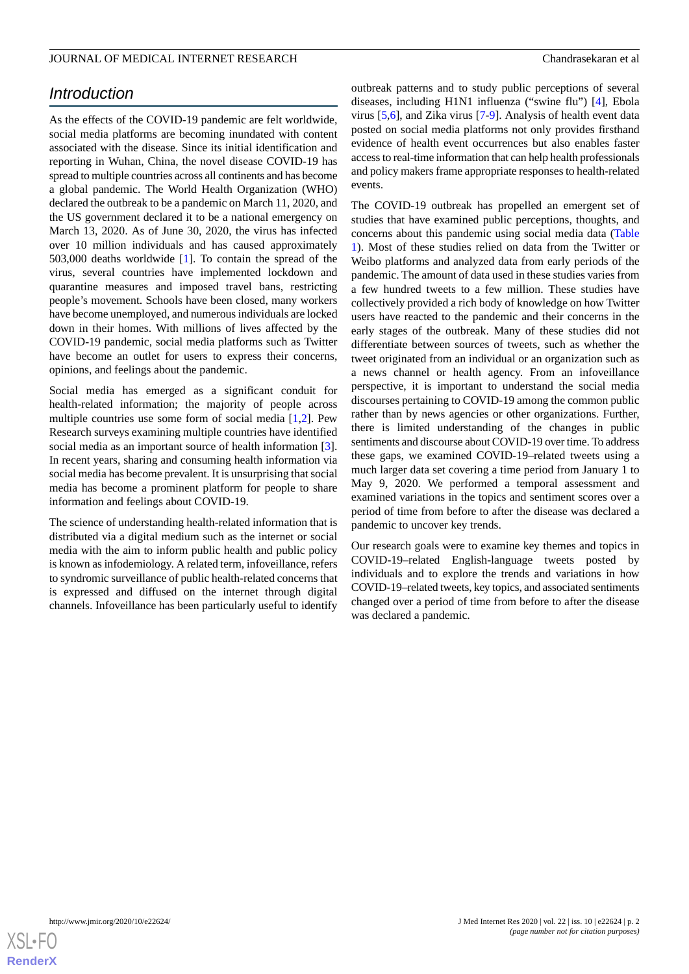## *Introduction*

As the effects of the COVID-19 pandemic are felt worldwide, social media platforms are becoming inundated with content associated with the disease. Since its initial identification and reporting in Wuhan, China, the novel disease COVID-19 has spread to multiple countries across all continents and has become a global pandemic. The World Health Organization (WHO) declared the outbreak to be a pandemic on March 11, 2020, and the US government declared it to be a national emergency on March 13, 2020. As of June 30, 2020, the virus has infected over 10 million individuals and has caused approximately 503,000 deaths worldwide [\[1](#page-9-0)]. To contain the spread of the virus, several countries have implemented lockdown and quarantine measures and imposed travel bans, restricting people's movement. Schools have been closed, many workers have become unemployed, and numerous individuals are locked down in their homes. With millions of lives affected by the COVID-19 pandemic, social media platforms such as Twitter have become an outlet for users to express their concerns, opinions, and feelings about the pandemic.

Social media has emerged as a significant conduit for health-related information; the majority of people across multiple countries use some form of social media [[1](#page-9-0)[,2](#page-9-1)]. Pew Research surveys examining multiple countries have identified social media as an important source of health information [[3\]](#page-9-2). In recent years, sharing and consuming health information via social media has become prevalent. It is unsurprising that social media has become a prominent platform for people to share information and feelings about COVID-19.

The science of understanding health-related information that is distributed via a digital medium such as the internet or social media with the aim to inform public health and public policy is known as infodemiology. A related term, infoveillance, refers to syndromic surveillance of public health-related concerns that is expressed and diffused on the internet through digital channels. Infoveillance has been particularly useful to identify

outbreak patterns and to study public perceptions of several diseases, including H1N1 influenza ("swine flu") [[4\]](#page-9-3), Ebola virus [[5,](#page-9-4)[6](#page-9-5)], and Zika virus [[7-](#page-9-6)[9\]](#page-9-7). Analysis of health event data posted on social media platforms not only provides firsthand evidence of health event occurrences but also enables faster access to real-time information that can help health professionals and policy makers frame appropriate responses to health-related events.

The COVID-19 outbreak has propelled an emergent set of studies that have examined public perceptions, thoughts, and concerns about this pandemic using social media data ([Table](#page-2-0) [1\)](#page-2-0). Most of these studies relied on data from the Twitter or Weibo platforms and analyzed data from early periods of the pandemic. The amount of data used in these studies varies from a few hundred tweets to a few million. These studies have collectively provided a rich body of knowledge on how Twitter users have reacted to the pandemic and their concerns in the early stages of the outbreak. Many of these studies did not differentiate between sources of tweets, such as whether the tweet originated from an individual or an organization such as a news channel or health agency. From an infoveillance perspective, it is important to understand the social media discourses pertaining to COVID-19 among the common public rather than by news agencies or other organizations. Further, there is limited understanding of the changes in public sentiments and discourse about COVID-19 over time. To address these gaps, we examined COVID-19–related tweets using a much larger data set covering a time period from January 1 to May 9, 2020. We performed a temporal assessment and examined variations in the topics and sentiment scores over a period of time from before to after the disease was declared a pandemic to uncover key trends.

Our research goals were to examine key themes and topics in COVID-19–related English-language tweets posted by individuals and to explore the trends and variations in how COVID-19–related tweets, key topics, and associated sentiments changed over a period of time from before to after the disease was declared a pandemic.

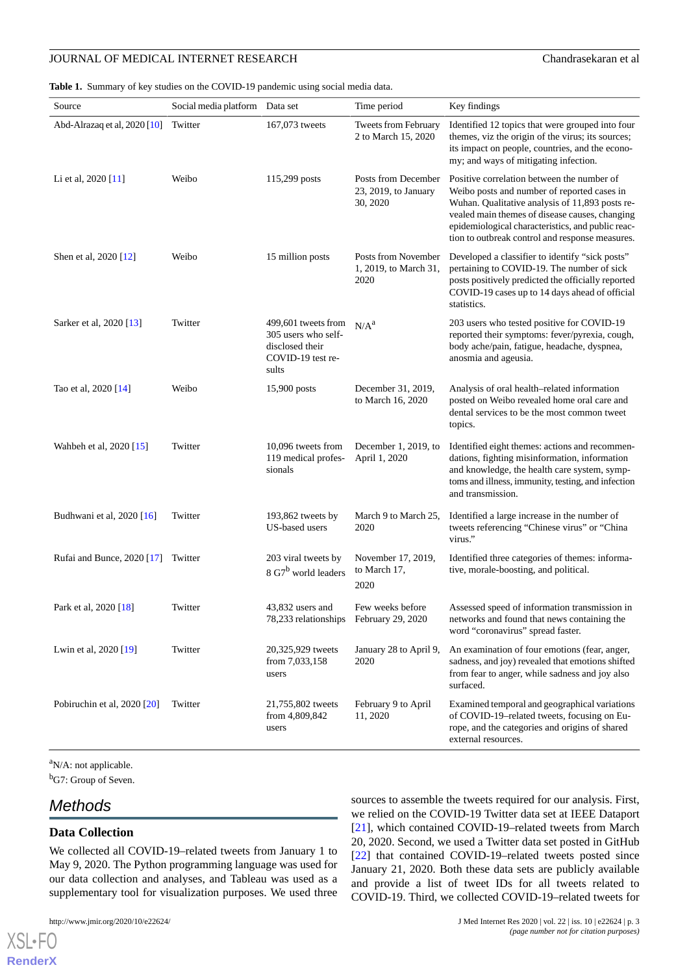#### JOURNAL OF MEDICAL INTERNET RESEARCH Chandrasekaran et al

<span id="page-2-0"></span>**Table 1.** Summary of key studies on the COVID-19 pandemic using social media data.

| Source                                      | Social media platform Data set |                                                                                                     | Time period                                             | Key findings                                                                                                                                                                                                                                                                                           |
|---------------------------------------------|--------------------------------|-----------------------------------------------------------------------------------------------------|---------------------------------------------------------|--------------------------------------------------------------------------------------------------------------------------------------------------------------------------------------------------------------------------------------------------------------------------------------------------------|
| Abd-Alrazaq et al, 2020 [10]                | Twitter                        | 167,073 tweets                                                                                      | Tweets from February<br>2 to March 15, 2020             | Identified 12 topics that were grouped into four<br>themes, viz the origin of the virus; its sources;<br>its impact on people, countries, and the econo-<br>my; and ways of mitigating infection.                                                                                                      |
| Li et al, 2020 [11]                         | Weibo                          | 115,299 posts                                                                                       | Posts from December<br>23, 2019, to January<br>30, 2020 | Positive correlation between the number of<br>Weibo posts and number of reported cases in<br>Wuhan. Qualitative analysis of 11,893 posts re-<br>vealed main themes of disease causes, changing<br>epidemiological characteristics, and public reac-<br>tion to outbreak control and response measures. |
| Shen et al, 2020 [12]                       | Weibo                          | 15 million posts                                                                                    | Posts from November<br>1, 2019, to March 31,<br>2020    | Developed a classifier to identify "sick posts"<br>pertaining to COVID-19. The number of sick<br>posts positively predicted the officially reported<br>COVID-19 cases up to 14 days ahead of official<br>statistics.                                                                                   |
| Sarker et al, 2020 [13]                     | Twitter                        | 499,601 tweets from $N/A^a$<br>305 users who self-<br>disclosed their<br>COVID-19 test re-<br>sults |                                                         | 203 users who tested positive for COVID-19<br>reported their symptoms: fever/pyrexia, cough,<br>body ache/pain, fatigue, headache, dyspnea,<br>anosmia and ageusia.                                                                                                                                    |
| Tao et al, 2020 [14]                        | Weibo                          | 15,900 posts                                                                                        | December 31, 2019,<br>to March 16, 2020                 | Analysis of oral health-related information<br>posted on Weibo revealed home oral care and<br>dental services to be the most common tweet<br>topics.                                                                                                                                                   |
| Wahbeh et al, 2020 [15]                     | Twitter                        | 10,096 tweets from<br>119 medical profes-<br>sionals                                                | December 1, 2019, to<br>April 1, 2020                   | Identified eight themes: actions and recommen-<br>dations, fighting misinformation, information<br>and knowledge, the health care system, symp-<br>toms and illness, immunity, testing, and infection<br>and transmission.                                                                             |
| Budhwani et al, 2020 [16]                   | Twitter                        | 193,862 tweets by<br>US-based users                                                                 | March 9 to March 25,<br>2020                            | Identified a large increase in the number of<br>tweets referencing "Chinese virus" or "China<br>virus."                                                                                                                                                                                                |
| Rufai and Bunce, 2020 [17] Twitter          |                                | 203 viral tweets by<br>8 G7 <sup>b</sup> world leaders                                              | November 17, 2019,<br>to March 17,<br>2020              | Identified three categories of themes: informa-<br>tive, morale-boosting, and political.                                                                                                                                                                                                               |
| Park et al, 2020 [18]                       | Twitter                        | 43,832 users and<br>78,233 relationships February 29, 2020                                          | Few weeks before                                        | Assessed speed of information transmission in<br>networks and found that news containing the<br>word "coronavirus" spread faster.                                                                                                                                                                      |
| Lwin et al, 2020 [19]                       | Twitter                        | 20,325,929 tweets<br>from 7,033,158<br>users                                                        | January 28 to April 9,<br>2020                          | An examination of four emotions (fear, anger,<br>sadness, and joy) revealed that emotions shifted<br>from fear to anger, while sadness and joy also<br>surfaced.                                                                                                                                       |
| Pobiruchin et al, $2020$ $\lceil 20 \rceil$ | Twitter                        | 21,755,802 tweets<br>from 4,809,842<br>users                                                        | February 9 to April<br>11, 2020                         | Examined temporal and geographical variations<br>of COVID-19-related tweets, focusing on Eu-<br>rope, and the categories and origins of shared<br>external resources.                                                                                                                                  |

<sup>a</sup>N/A: not applicable.

<sup>b</sup>G7: Group of Seven.

## *Methods*

 $XS$ l • FC **[RenderX](http://www.renderx.com/)**

#### **Data Collection**

We collected all COVID-19–related tweets from January 1 to May 9, 2020. The Python programming language was used for our data collection and analyses, and Tableau was used as a supplementary tool for visualization purposes. We used three

sources to assemble the tweets required for our analysis. First, we relied on the COVID-19 Twitter data set at IEEE Dataport [[21\]](#page-10-11), which contained COVID-19–related tweets from March 20, 2020. Second, we used a Twitter data set posted in GitHub [[22\]](#page-10-12) that contained COVID-19–related tweets posted since January 21, 2020. Both these data sets are publicly available and provide a list of tweet IDs for all tweets related to COVID-19. Third, we collected COVID-19–related tweets for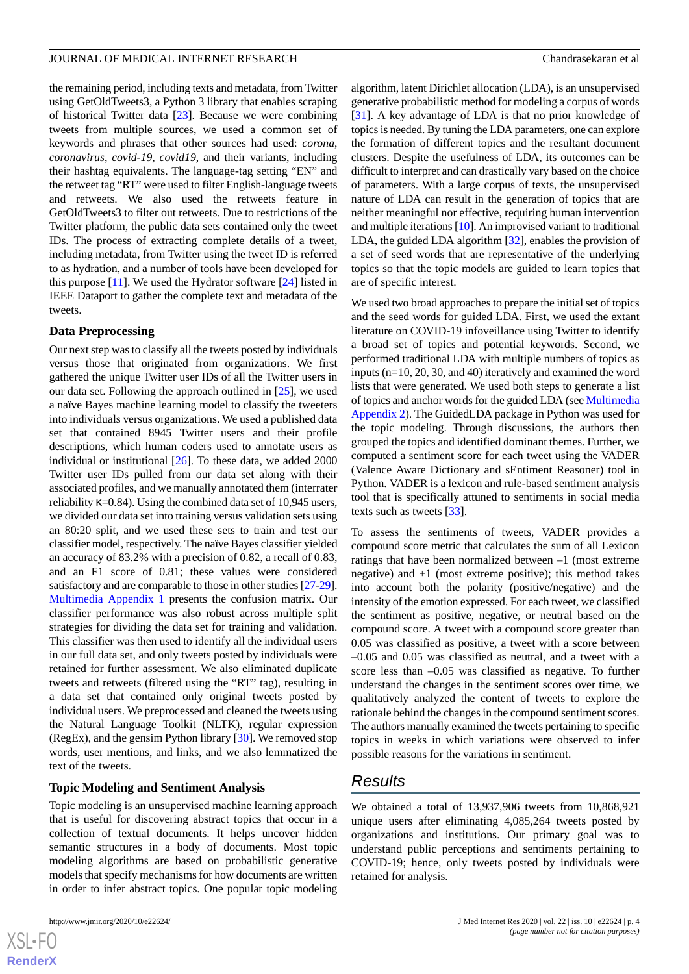#### JOURNAL OF MEDICAL INTERNET RESEARCH Change and Chandrasekaran et al.

the remaining period, including texts and metadata, from Twitter using GetOldTweets3, a Python 3 library that enables scraping of historical Twitter data [[23\]](#page-10-13). Because we were combining tweets from multiple sources, we used a common set of keywords and phrases that other sources had used: *corona*, *coronavirus*, *covid-19*, *covid19*, and their variants, including their hashtag equivalents. The language-tag setting "EN" and the retweet tag "RT" were used to filter English-language tweets and retweets. We also used the retweets feature in GetOldTweets3 to filter out retweets. Due to restrictions of the Twitter platform, the public data sets contained only the tweet IDs. The process of extracting complete details of a tweet, including metadata, from Twitter using the tweet ID is referred to as hydration, and a number of tools have been developed for this purpose [[11\]](#page-10-1). We used the Hydrator software [\[24](#page-10-14)] listed in IEEE Dataport to gather the complete text and metadata of the tweets.

#### **Data Preprocessing**

Our next step was to classify all the tweets posted by individuals versus those that originated from organizations. We first gathered the unique Twitter user IDs of all the Twitter users in our data set. Following the approach outlined in [[25\]](#page-10-15), we used a naïve Bayes machine learning model to classify the tweeters into individuals versus organizations. We used a published data set that contained 8945 Twitter users and their profile descriptions, which human coders used to annotate users as individual or institutional [[26\]](#page-10-16). To these data, we added 2000 Twitter user IDs pulled from our data set along with their associated profiles, and we manually annotated them (interrater reliability  $\kappa$ =0.84). Using the combined data set of 10.945 users, we divided our data set into training versus validation sets using an 80:20 split, and we used these sets to train and test our classifier model, respectively. The naïve Bayes classifier yielded an accuracy of 83.2% with a precision of 0.82, a recall of 0.83, and an F1 score of 0.81; these values were considered satisfactory and are comparable to those in other studies [\[27](#page-10-17)[-29\]](#page-10-18). [Multimedia Appendix 1](#page-9-8) presents the confusion matrix. Our classifier performance was also robust across multiple split strategies for dividing the data set for training and validation. This classifier was then used to identify all the individual users in our full data set, and only tweets posted by individuals were retained for further assessment. We also eliminated duplicate tweets and retweets (filtered using the "RT" tag), resulting in a data set that contained only original tweets posted by individual users. We preprocessed and cleaned the tweets using the Natural Language Toolkit (NLTK), regular expression (RegEx), and the gensim Python library [\[30](#page-10-19)]. We removed stop words, user mentions, and links, and we also lemmatized the text of the tweets.

#### **Topic Modeling and Sentiment Analysis**

Topic modeling is an unsupervised machine learning approach that is useful for discovering abstract topics that occur in a collection of textual documents. It helps uncover hidden semantic structures in a body of documents. Most topic modeling algorithms are based on probabilistic generative models that specify mechanisms for how documents are written in order to infer abstract topics. One popular topic modeling

algorithm, latent Dirichlet allocation (LDA), is an unsupervised generative probabilistic method for modeling a corpus of words [[31\]](#page-10-20). A key advantage of LDA is that no prior knowledge of topics is needed. By tuning the LDA parameters, one can explore the formation of different topics and the resultant document clusters. Despite the usefulness of LDA, its outcomes can be difficult to interpret and can drastically vary based on the choice of parameters. With a large corpus of texts, the unsupervised nature of LDA can result in the generation of topics that are neither meaningful nor effective, requiring human intervention and multiple iterations [\[10](#page-10-0)]. An improvised variant to traditional LDA, the guided LDA algorithm [[32\]](#page-10-21), enables the provision of a set of seed words that are representative of the underlying topics so that the topic models are guided to learn topics that are of specific interest.

We used two broad approaches to prepare the initial set of topics and the seed words for guided LDA. First, we used the extant literature on COVID-19 infoveillance using Twitter to identify a broad set of topics and potential keywords. Second, we performed traditional LDA with multiple numbers of topics as inputs (n=10, 20, 30, and 40) iteratively and examined the word lists that were generated. We used both steps to generate a list of topics and anchor words for the guided LDA (see [Multimedia](#page-9-9) [Appendix 2](#page-9-9)). The GuidedLDA package in Python was used for the topic modeling. Through discussions, the authors then grouped the topics and identified dominant themes. Further, we computed a sentiment score for each tweet using the VADER (Valence Aware Dictionary and sEntiment Reasoner) tool in Python. VADER is a lexicon and rule-based sentiment analysis tool that is specifically attuned to sentiments in social media texts such as tweets [[33\]](#page-11-0).

To assess the sentiments of tweets, VADER provides a compound score metric that calculates the sum of all Lexicon ratings that have been normalized between –1 (most extreme negative) and +1 (most extreme positive); this method takes into account both the polarity (positive/negative) and the intensity of the emotion expressed. For each tweet, we classified the sentiment as positive, negative, or neutral based on the compound score. A tweet with a compound score greater than 0.05 was classified as positive, a tweet with a score between –0.05 and 0.05 was classified as neutral, and a tweet with a score less than  $-0.05$  was classified as negative. To further understand the changes in the sentiment scores over time, we qualitatively analyzed the content of tweets to explore the rationale behind the changes in the compound sentiment scores. The authors manually examined the tweets pertaining to specific topics in weeks in which variations were observed to infer possible reasons for the variations in sentiment.

## *Results*

We obtained a total of 13,937,906 tweets from 10,868,921 unique users after eliminating 4,085,264 tweets posted by organizations and institutions. Our primary goal was to understand public perceptions and sentiments pertaining to COVID-19; hence, only tweets posted by individuals were retained for analysis.

```
XS\cdotFC
RenderX
```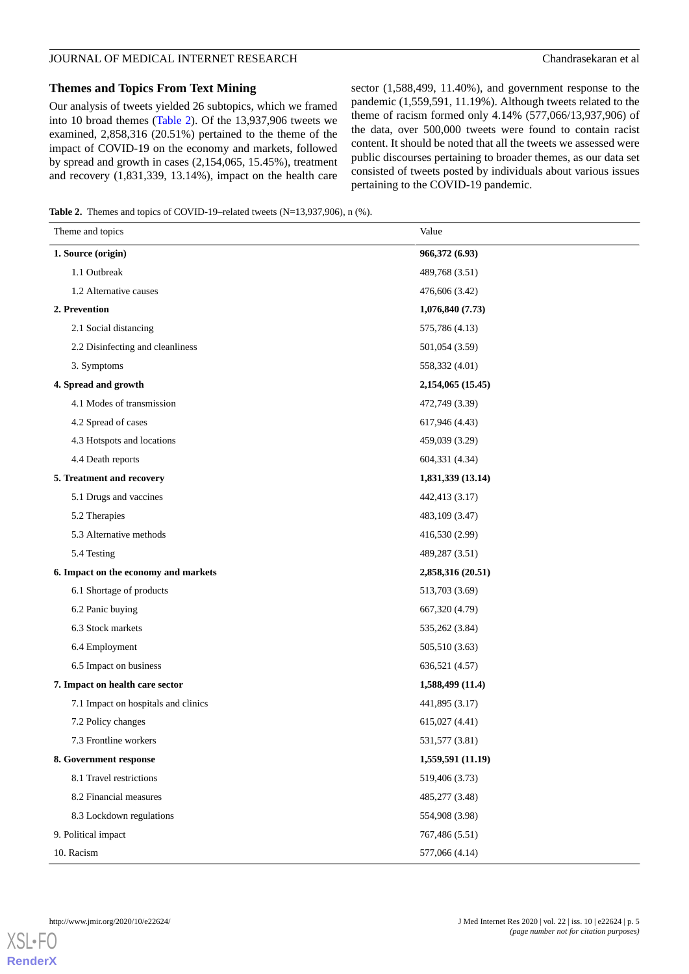#### JOURNAL OF MEDICAL INTERNET RESEARCH Chandrasekaran et al

#### **Themes and Topics From Text Mining**

Our analysis of tweets yielded 26 subtopics, which we framed into 10 broad themes [\(Table 2](#page-4-0)). Of the 13,937,906 tweets we examined, 2,858,316 (20.51%) pertained to the theme of the impact of COVID-19 on the economy and markets, followed by spread and growth in cases (2,154,065, 15.45%), treatment and recovery (1,831,339, 13.14%), impact on the health care

sector (1,588,499, 11.40%), and government response to the pandemic (1,559,591, 11.19%). Although tweets related to the theme of racism formed only 4.14% (577,066/13,937,906) of the data, over 500,000 tweets were found to contain racist content. It should be noted that all the tweets we assessed were public discourses pertaining to broader themes, as our data set consisted of tweets posted by individuals about various issues pertaining to the COVID-19 pandemic.

<span id="page-4-0"></span>Table 2. Themes and topics of COVID-19–related tweets (N=13,937,906), n (%).

| Theme and topics                     | Value             |
|--------------------------------------|-------------------|
| 1. Source (origin)                   | 966,372 (6.93)    |
| 1.1 Outbreak                         | 489,768 (3.51)    |
| 1.2 Alternative causes               | 476,606 (3.42)    |
| 2. Prevention                        | 1,076,840(7.73)   |
| 2.1 Social distancing                | 575,786 (4.13)    |
| 2.2 Disinfecting and cleanliness     | 501,054 (3.59)    |
| 3. Symptoms                          | 558,332 (4.01)    |
| 4. Spread and growth                 | 2,154,065 (15.45) |
| 4.1 Modes of transmission            | 472,749 (3.39)    |
| 4.2 Spread of cases                  | 617,946 (4.43)    |
| 4.3 Hotspots and locations           | 459,039 (3.29)    |
| 4.4 Death reports                    | 604,331 (4.34)    |
| 5. Treatment and recovery            | 1,831,339 (13.14) |
| 5.1 Drugs and vaccines               | 442,413 (3.17)    |
| 5.2 Therapies                        | 483,109 (3.47)    |
| 5.3 Alternative methods              | 416,530 (2.99)    |
| 5.4 Testing                          | 489,287 (3.51)    |
| 6. Impact on the economy and markets | 2,858,316 (20.51) |
| 6.1 Shortage of products             | 513,703 (3.69)    |
| 6.2 Panic buying                     | 667,320 (4.79)    |
| 6.3 Stock markets                    | 535,262 (3.84)    |
| 6.4 Employment                       | 505,510 (3.63)    |
| 6.5 Impact on business               | 636,521 (4.57)    |
| 7. Impact on health care sector      | 1,588,499 (11.4)  |
| 7.1 Impact on hospitals and clinics  | 441,895 (3.17)    |
| 7.2 Policy changes                   | 615,027 (4.41)    |
| 7.3 Frontline workers                | 531,577 (3.81)    |
| 8. Government response               | 1,559,591 (11.19) |
| 8.1 Travel restrictions              | 519,406 (3.73)    |
| 8.2 Financial measures               | 485,277 (3.48)    |
| 8.3 Lockdown regulations             | 554,908 (3.98)    |
| 9. Political impact                  | 767,486 (5.51)    |
| 10. Racism                           | 577,066 (4.14)    |

**[RenderX](http://www.renderx.com/)**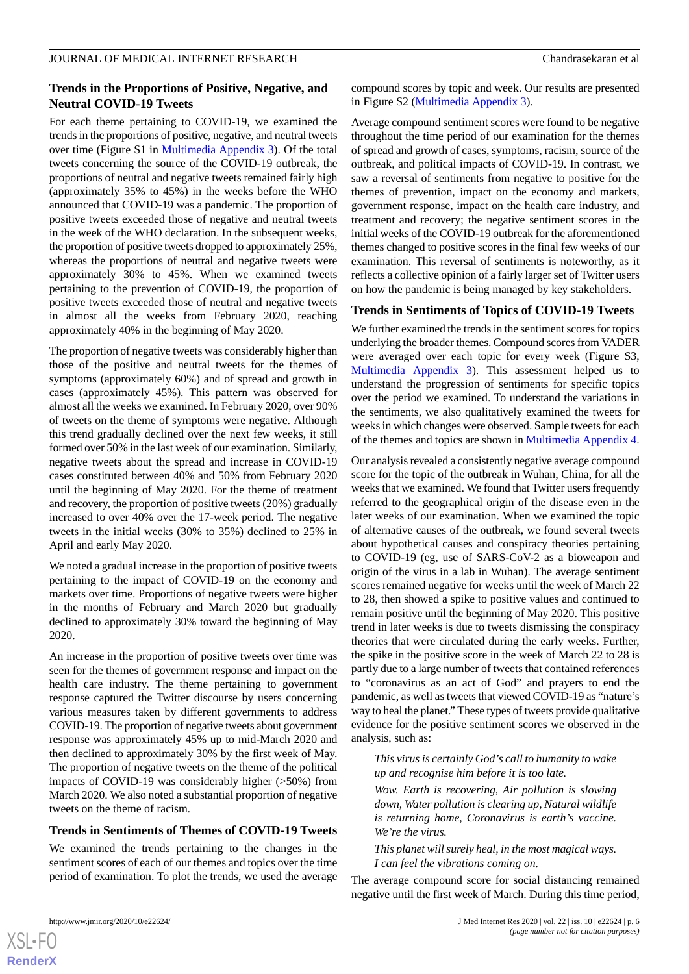### **Trends in the Proportions of Positive, Negative, and Neutral COVID-19 Tweets**

For each theme pertaining to COVID-19, we examined the trends in the proportions of positive, negative, and neutral tweets over time (Figure S1 in [Multimedia Appendix 3\)](#page-9-10). Of the total tweets concerning the source of the COVID-19 outbreak, the proportions of neutral and negative tweets remained fairly high (approximately 35% to 45%) in the weeks before the WHO announced that COVID-19 was a pandemic. The proportion of positive tweets exceeded those of negative and neutral tweets in the week of the WHO declaration. In the subsequent weeks, the proportion of positive tweets dropped to approximately 25%, whereas the proportions of neutral and negative tweets were approximately 30% to 45%. When we examined tweets pertaining to the prevention of COVID-19, the proportion of positive tweets exceeded those of neutral and negative tweets in almost all the weeks from February 2020, reaching approximately 40% in the beginning of May 2020.

The proportion of negative tweets was considerably higher than those of the positive and neutral tweets for the themes of symptoms (approximately 60%) and of spread and growth in cases (approximately 45%). This pattern was observed for almost all the weeks we examined. In February 2020, over 90% of tweets on the theme of symptoms were negative. Although this trend gradually declined over the next few weeks, it still formed over 50% in the last week of our examination. Similarly, negative tweets about the spread and increase in COVID-19 cases constituted between 40% and 50% from February 2020 until the beginning of May 2020. For the theme of treatment and recovery, the proportion of positive tweets (20%) gradually increased to over 40% over the 17-week period. The negative tweets in the initial weeks (30% to 35%) declined to 25% in April and early May 2020.

We noted a gradual increase in the proportion of positive tweets pertaining to the impact of COVID-19 on the economy and markets over time. Proportions of negative tweets were higher in the months of February and March 2020 but gradually declined to approximately 30% toward the beginning of May 2020.

An increase in the proportion of positive tweets over time was seen for the themes of government response and impact on the health care industry. The theme pertaining to government response captured the Twitter discourse by users concerning various measures taken by different governments to address COVID-19. The proportion of negative tweets about government response was approximately 45% up to mid-March 2020 and then declined to approximately 30% by the first week of May. The proportion of negative tweets on the theme of the political impacts of COVID-19 was considerably higher (>50%) from March 2020. We also noted a substantial proportion of negative tweets on the theme of racism*.*

#### **Trends in Sentiments of Themes of COVID-19 Tweets**

We examined the trends pertaining to the changes in the sentiment scores of each of our themes and topics over the time period of examination. To plot the trends, we used the average compound scores by topic and week. Our results are presented in Figure S2 ([Multimedia Appendix 3](#page-9-10)).

Average compound sentiment scores were found to be negative throughout the time period of our examination for the themes of spread and growth of cases, symptoms, racism, source of the outbreak, and political impacts of COVID-19. In contrast, we saw a reversal of sentiments from negative to positive for the themes of prevention, impact on the economy and markets, government response, impact on the health care industry, and treatment and recovery; the negative sentiment scores in the initial weeks of the COVID-19 outbreak for the aforementioned themes changed to positive scores in the final few weeks of our examination. This reversal of sentiments is noteworthy, as it reflects a collective opinion of a fairly larger set of Twitter users on how the pandemic is being managed by key stakeholders.

#### **Trends in Sentiments of Topics of COVID-19 Tweets**

We further examined the trends in the sentiment scores for topics underlying the broader themes. Compound scores from VADER were averaged over each topic for every week (Figure S3, [Multimedia Appendix 3](#page-9-10)). This assessment helped us to understand the progression of sentiments for specific topics over the period we examined. To understand the variations in the sentiments, we also qualitatively examined the tweets for weeks in which changes were observed. Sample tweets for each of the themes and topics are shown in [Multimedia Appendix 4](#page-9-11).

Our analysis revealed a consistently negative average compound score for the topic of the outbreak in Wuhan, China, for all the weeks that we examined. We found that Twitter users frequently referred to the geographical origin of the disease even in the later weeks of our examination. When we examined the topic of alternative causes of the outbreak, we found several tweets about hypothetical causes and conspiracy theories pertaining to COVID-19 (eg, use of SARS-CoV-2 as a bioweapon and origin of the virus in a lab in Wuhan). The average sentiment scores remained negative for weeks until the week of March 22 to 28, then showed a spike to positive values and continued to remain positive until the beginning of May 2020. This positive trend in later weeks is due to tweets dismissing the conspiracy theories that were circulated during the early weeks. Further, the spike in the positive score in the week of March 22 to 28 is partly due to a large number of tweets that contained references to "coronavirus as an act of God" and prayers to end the pandemic, as well as tweets that viewed COVID-19 as "nature's way to heal the planet." These types of tweets provide qualitative evidence for the positive sentiment scores we observed in the analysis, such as:

*This virus is certainly God's call to humanity to wake up and recognise him before it is too late.*

*Wow. Earth is recovering, Air pollution is slowing down, Water pollution is clearing up, Natural wildlife is returning home, Coronavirus is earth's vaccine. We're the virus.*

*This planet will surely heal, in the most magical ways. I can feel the vibrations coming on.*

The average compound score for social distancing remained negative until the first week of March. During this time period,



 $XS$  $\cdot$ FC **[RenderX](http://www.renderx.com/)**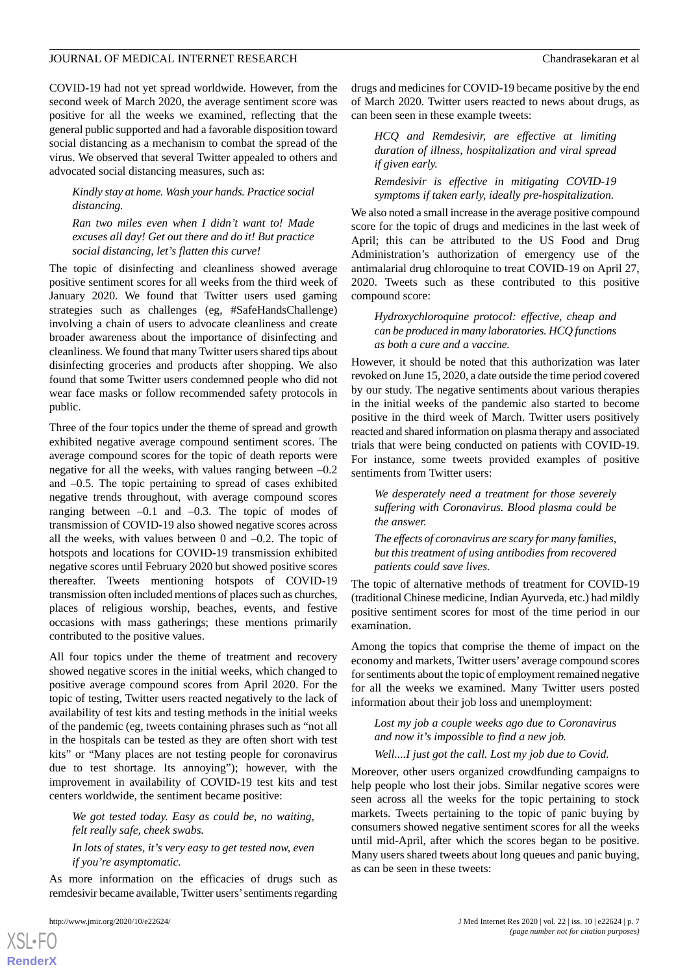COVID-19 had not yet spread worldwide. However, from the second week of March 2020, the average sentiment score was positive for all the weeks we examined, reflecting that the general public supported and had a favorable disposition toward social distancing as a mechanism to combat the spread of the virus. We observed that several Twitter appealed to others and advocated social distancing measures, such as:

*Kindly stay at home. Wash your hands. Practice social distancing.*

*Ran two miles even when I didn't want to! Made excuses all day! Get out there and do it! But practice social distancing, let's flatten this curve!*

The topic of disinfecting and cleanliness showed average positive sentiment scores for all weeks from the third week of January 2020. We found that Twitter users used gaming strategies such as challenges (eg, #SafeHandsChallenge) involving a chain of users to advocate cleanliness and create broader awareness about the importance of disinfecting and cleanliness. We found that many Twitter users shared tips about disinfecting groceries and products after shopping. We also found that some Twitter users condemned people who did not wear face masks or follow recommended safety protocols in public.

Three of the four topics under the theme of spread and growth exhibited negative average compound sentiment scores. The average compound scores for the topic of death reports were negative for all the weeks, with values ranging between  $-0.2$ and –0.5. The topic pertaining to spread of cases exhibited negative trends throughout, with average compound scores ranging between  $-0.1$  and  $-0.3$ . The topic of modes of transmission of COVID-19 also showed negative scores across all the weeks, with values between 0 and –0.2. The topic of hotspots and locations for COVID-19 transmission exhibited negative scores until February 2020 but showed positive scores thereafter. Tweets mentioning hotspots of COVID-19 transmission often included mentions of places such as churches, places of religious worship, beaches, events, and festive occasions with mass gatherings; these mentions primarily contributed to the positive values.

All four topics under the theme of treatment and recovery showed negative scores in the initial weeks, which changed to positive average compound scores from April 2020. For the topic of testing, Twitter users reacted negatively to the lack of availability of test kits and testing methods in the initial weeks of the pandemic (eg, tweets containing phrases such as "not all in the hospitals can be tested as they are often short with test kits" or "Many places are not testing people for coronavirus due to test shortage. Its annoying"); however, with the improvement in availability of COVID-19 test kits and test centers worldwide, the sentiment became positive:

*We got tested today. Easy as could be, no waiting, felt really safe, cheek swabs.*

*In lots of states, it's very easy to get tested now, even if you're asymptomatic.*

As more information on the efficacies of drugs such as remdesivir became available, Twitter users'sentiments regarding

[XSL](http://www.w3.org/Style/XSL)•FO **[RenderX](http://www.renderx.com/)**

drugs and medicines for COVID-19 became positive by the end of March 2020. Twitter users reacted to news about drugs, as can been seen in these example tweets:

*HCQ and Remdesivir, are effective at limiting duration of illness, hospitalization and viral spread if given early.*

*Remdesivir is effective in mitigating COVID-19 symptoms if taken early, ideally pre-hospitalization.*

We also noted a small increase in the average positive compound score for the topic of drugs and medicines in the last week of April; this can be attributed to the US Food and Drug Administration's authorization of emergency use of the antimalarial drug chloroquine to treat COVID-19 on April 27, 2020. Tweets such as these contributed to this positive compound score:

*Hydroxychloroquine protocol: effective, cheap and can be produced in many laboratories. HCQ functions as both a cure and a vaccine.*

However, it should be noted that this authorization was later revoked on June 15, 2020, a date outside the time period covered by our study. The negative sentiments about various therapies in the initial weeks of the pandemic also started to become positive in the third week of March. Twitter users positively reacted and shared information on plasma therapy and associated trials that were being conducted on patients with COVID-19. For instance, some tweets provided examples of positive sentiments from Twitter users:

*We desperately need a treatment for those severely suffering with Coronavirus. Blood plasma could be the answer.*

*The effects of coronavirus are scary for many families, but this treatment of using antibodies from recovered patients could save lives.*

The topic of alternative methods of treatment for COVID-19 (traditional Chinese medicine, Indian Ayurveda, etc.) had mildly positive sentiment scores for most of the time period in our examination.

Among the topics that comprise the theme of impact on the economy and markets, Twitter users' average compound scores for sentiments about the topic of employment remained negative for all the weeks we examined. Many Twitter users posted information about their job loss and unemployment:

*Lost my job a couple weeks ago due to Coronavirus and now it's impossible to find a new job.*

*Well....I just got the call. Lost my job due to Covid.*

Moreover, other users organized crowdfunding campaigns to help people who lost their jobs. Similar negative scores were seen across all the weeks for the topic pertaining to stock markets. Tweets pertaining to the topic of panic buying by consumers showed negative sentiment scores for all the weeks until mid-April, after which the scores began to be positive. Many users shared tweets about long queues and panic buying, as can be seen in these tweets: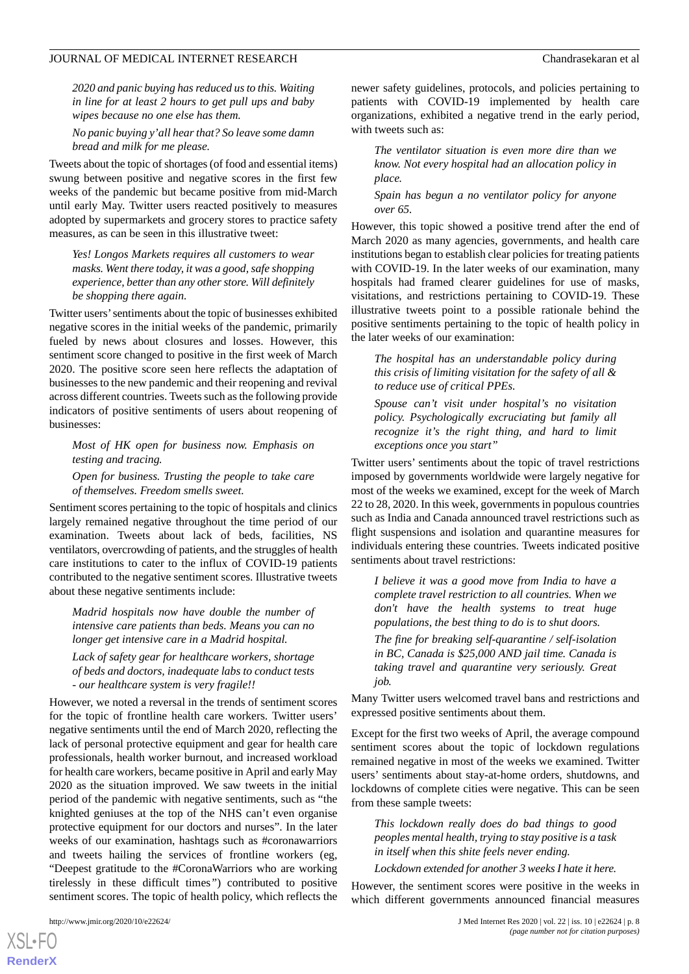*2020 and panic buying has reduced us to this. Waiting in line for at least 2 hours to get pull ups and baby wipes because no one else has them.*

*No panic buying y'all hear that? So leave some damn bread and milk for me please.*

Tweets about the topic of shortages (of food and essential items) swung between positive and negative scores in the first few weeks of the pandemic but became positive from mid-March until early May. Twitter users reacted positively to measures adopted by supermarkets and grocery stores to practice safety measures, as can be seen in this illustrative tweet:

*Yes! Longos Markets requires all customers to wear masks. Went there today, it was a good, safe shopping experience, better than any other store. Will definitely be shopping there again.*

Twitter users'sentiments about the topic of businesses exhibited negative scores in the initial weeks of the pandemic, primarily fueled by news about closures and losses. However, this sentiment score changed to positive in the first week of March 2020. The positive score seen here reflects the adaptation of businesses to the new pandemic and their reopening and revival across different countries. Tweets such as the following provide indicators of positive sentiments of users about reopening of businesses:

#### *Most of HK open for business now. Emphasis on testing and tracing.*

*Open for business. Trusting the people to take care of themselves. Freedom smells sweet.*

Sentiment scores pertaining to the topic of hospitals and clinics largely remained negative throughout the time period of our examination. Tweets about lack of beds, facilities, NS ventilators, overcrowding of patients, and the struggles of health care institutions to cater to the influx of COVID-19 patients contributed to the negative sentiment scores. Illustrative tweets about these negative sentiments include:

*Madrid hospitals now have double the number of intensive care patients than beds. Means you can no longer get intensive care in a Madrid hospital.*

*Lack of safety gear for healthcare workers, shortage of beds and doctors, inadequate labs to conduct tests - our healthcare system is very fragile!!*

However, we noted a reversal in the trends of sentiment scores for the topic of frontline health care workers. Twitter users' negative sentiments until the end of March 2020, reflecting the lack of personal protective equipment and gear for health care professionals, health worker burnout, and increased workload for health care workers, became positive in April and early May 2020 as the situation improved. We saw tweets in the initial period of the pandemic with negative sentiments, such as "the knighted geniuses at the top of the NHS can't even organise protective equipment for our doctors and nurses". In the later weeks of our examination, hashtags such as #coronawarriors and tweets hailing the services of frontline workers (eg, "Deepest gratitude to the #CoronaWarriors who are working tirelessly in these difficult times*"*) contributed to positive sentiment scores. The topic of health policy, which reflects the

newer safety guidelines, protocols, and policies pertaining to patients with COVID-19 implemented by health care organizations, exhibited a negative trend in the early period, with tweets such as:

*The ventilator situation is even more dire than we know. Not every hospital had an allocation policy in place.*

*Spain has begun a no ventilator policy for anyone over 65.*

However, this topic showed a positive trend after the end of March 2020 as many agencies, governments, and health care institutions began to establish clear policies for treating patients with COVID-19. In the later weeks of our examination, many hospitals had framed clearer guidelines for use of masks, visitations, and restrictions pertaining to COVID-19. These illustrative tweets point to a possible rationale behind the positive sentiments pertaining to the topic of health policy in the later weeks of our examination:

*The hospital has an understandable policy during this crisis of limiting visitation for the safety of all & to reduce use of critical PPEs.*

*Spouse can't visit under hospital's no visitation policy. Psychologically excruciating but family all recognize it's the right thing, and hard to limit exceptions once you start"*

Twitter users' sentiments about the topic of travel restrictions imposed by governments worldwide were largely negative for most of the weeks we examined, except for the week of March 22 to 28, 2020. In this week, governments in populous countries such as India and Canada announced travel restrictions such as flight suspensions and isolation and quarantine measures for individuals entering these countries. Tweets indicated positive sentiments about travel restrictions:

*I believe it was a good move from India to have a complete travel restriction to all countries. When we don't have the health systems to treat huge populations, the best thing to do is to shut doors.*

*The fine for breaking self-quarantine / self-isolation in BC, Canada is \$25,000 AND jail time. Canada is taking travel and quarantine very seriously. Great job.*

Many Twitter users welcomed travel bans and restrictions and expressed positive sentiments about them.

Except for the first two weeks of April, the average compound sentiment scores about the topic of lockdown regulations remained negative in most of the weeks we examined. Twitter users' sentiments about stay-at-home orders, shutdowns, and lockdowns of complete cities were negative. This can be seen from these sample tweets:

*This lockdown really does do bad things to good peoples mental health, trying to stay positive is a task in itself when this shite feels never ending.*

*Lockdown extended for another 3 weeks I hate it here.*

However, the sentiment scores were positive in the weeks in which different governments announced financial measures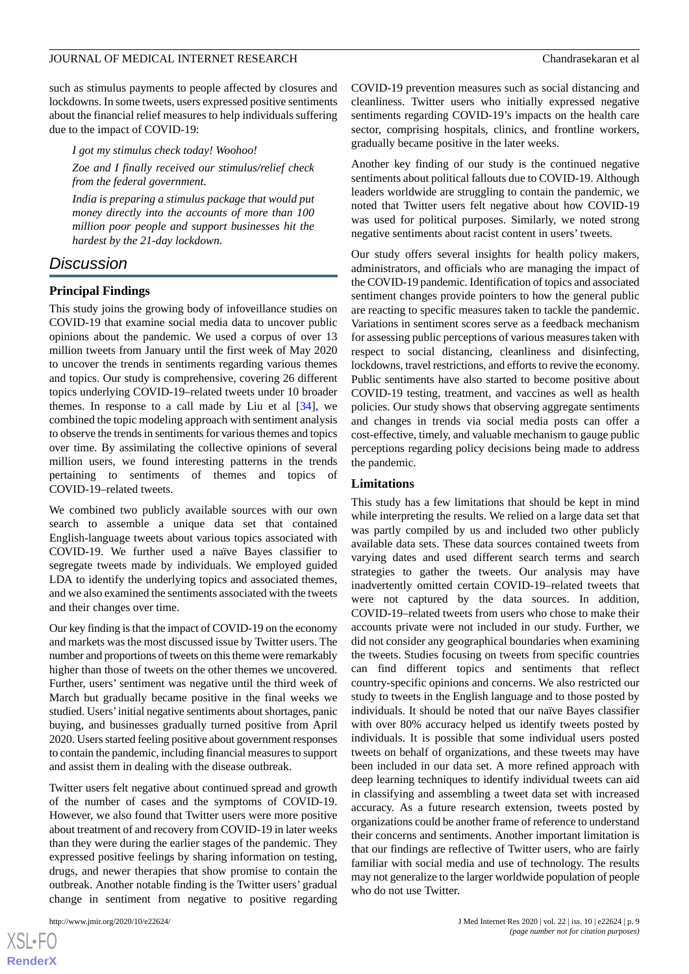#### JOURNAL OF MEDICAL INTERNET RESEARCH Change and Chandrasekaran et al.

such as stimulus payments to people affected by closures and lockdowns. In some tweets, users expressed positive sentiments about the financial relief measures to help individuals suffering due to the impact of COVID-19:

*I got my stimulus check today! Woohoo!*

*Zoe and I finally received our stimulus/relief check from the federal government.*

*India is preparing a stimulus package that would put money directly into the accounts of more than 100 million poor people and support businesses hit the hardest by the 21-day lockdown.*

## *Discussion*

#### **Principal Findings**

This study joins the growing body of infoveillance studies on COVID-19 that examine social media data to uncover public opinions about the pandemic. We used a corpus of over 13 million tweets from January until the first week of May 2020 to uncover the trends in sentiments regarding various themes and topics. Our study is comprehensive, covering 26 different topics underlying COVID-19–related tweets under 10 broader themes. In response to a call made by Liu et al  $[34]$  $[34]$ , we combined the topic modeling approach with sentiment analysis to observe the trends in sentiments for various themes and topics over time. By assimilating the collective opinions of several million users, we found interesting patterns in the trends pertaining to sentiments of themes and topics of COVID-19–related tweets.

We combined two publicly available sources with our own search to assemble a unique data set that contained English-language tweets about various topics associated with COVID-19. We further used a naïve Bayes classifier to segregate tweets made by individuals. We employed guided LDA to identify the underlying topics and associated themes, and we also examined the sentiments associated with the tweets and their changes over time.

Our key finding is that the impact of COVID-19 on the economy and markets was the most discussed issue by Twitter users. The number and proportions of tweets on this theme were remarkably higher than those of tweets on the other themes we uncovered. Further, users' sentiment was negative until the third week of March but gradually became positive in the final weeks we studied. Users'initial negative sentiments about shortages, panic buying, and businesses gradually turned positive from April 2020. Users started feeling positive about government responses to contain the pandemic, including financial measures to support and assist them in dealing with the disease outbreak.

Twitter users felt negative about continued spread and growth of the number of cases and the symptoms of COVID-19. However, we also found that Twitter users were more positive about treatment of and recovery from COVID-19 in later weeks than they were during the earlier stages of the pandemic. They expressed positive feelings by sharing information on testing, drugs, and newer therapies that show promise to contain the outbreak. Another notable finding is the Twitter users' gradual change in sentiment from negative to positive regarding

COVID-19 prevention measures such as social distancing and cleanliness. Twitter users who initially expressed negative sentiments regarding COVID-19's impacts on the health care sector, comprising hospitals, clinics, and frontline workers, gradually became positive in the later weeks.

Another key finding of our study is the continued negative sentiments about political fallouts due to COVID-19. Although leaders worldwide are struggling to contain the pandemic, we noted that Twitter users felt negative about how COVID-19 was used for political purposes. Similarly, we noted strong negative sentiments about racist content in users' tweets.

Our study offers several insights for health policy makers, administrators, and officials who are managing the impact of the COVID-19 pandemic. Identification of topics and associated sentiment changes provide pointers to how the general public are reacting to specific measures taken to tackle the pandemic. Variations in sentiment scores serve as a feedback mechanism for assessing public perceptions of various measures taken with respect to social distancing, cleanliness and disinfecting, lockdowns, travel restrictions, and efforts to revive the economy. Public sentiments have also started to become positive about COVID-19 testing, treatment, and vaccines as well as health policies. Our study shows that observing aggregate sentiments and changes in trends via social media posts can offer a cost-effective, timely, and valuable mechanism to gauge public perceptions regarding policy decisions being made to address the pandemic.

#### **Limitations**

This study has a few limitations that should be kept in mind while interpreting the results. We relied on a large data set that was partly compiled by us and included two other publicly available data sets. These data sources contained tweets from varying dates and used different search terms and search strategies to gather the tweets. Our analysis may have inadvertently omitted certain COVID-19–related tweets that were not captured by the data sources. In addition, COVID-19–related tweets from users who chose to make their accounts private were not included in our study. Further, we did not consider any geographical boundaries when examining the tweets. Studies focusing on tweets from specific countries can find different topics and sentiments that reflect country-specific opinions and concerns. We also restricted our study to tweets in the English language and to those posted by individuals. It should be noted that our naïve Bayes classifier with over 80% accuracy helped us identify tweets posted by individuals. It is possible that some individual users posted tweets on behalf of organizations, and these tweets may have been included in our data set. A more refined approach with deep learning techniques to identify individual tweets can aid in classifying and assembling a tweet data set with increased accuracy. As a future research extension, tweets posted by organizations could be another frame of reference to understand their concerns and sentiments. Another important limitation is that our findings are reflective of Twitter users, who are fairly familiar with social media and use of technology. The results may not generalize to the larger worldwide population of people who do not use Twitter.

 $XS$ -FO **[RenderX](http://www.renderx.com/)**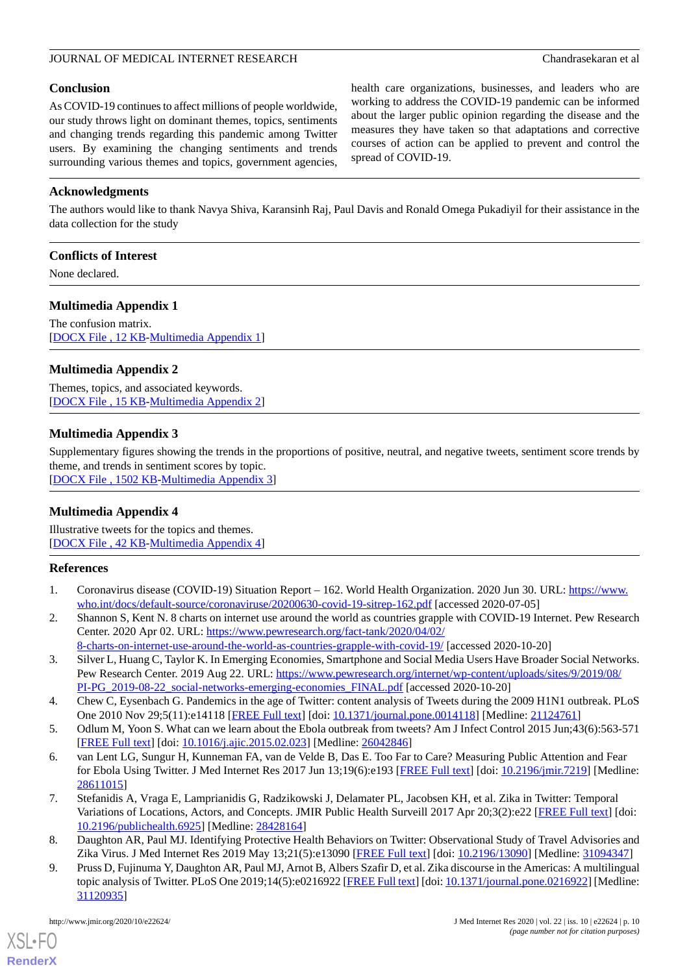#### **Conclusion**

As COVID-19 continues to affect millions of people worldwide, our study throws light on dominant themes, topics, sentiments and changing trends regarding this pandemic among Twitter users. By examining the changing sentiments and trends surrounding various themes and topics, government agencies,

health care organizations, businesses, and leaders who are working to address the COVID-19 pandemic can be informed about the larger public opinion regarding the disease and the measures they have taken so that adaptations and corrective courses of action can be applied to prevent and control the spread of COVID-19.

#### **Acknowledgments**

The authors would like to thank Navya Shiva, Karansinh Raj, Paul Davis and Ronald Omega Pukadiyil for their assistance in the data collection for the study

#### **Conflicts of Interest**

<span id="page-9-8"></span>None declared.

#### **Multimedia Appendix 1**

<span id="page-9-9"></span>The confusion matrix. [[DOCX File , 12 KB](https://jmir.org/api/download?alt_name=jmir_v22i10e22624_app1.docx&filename=8eab4723d68bb214aa7e5a46c21b11b7.docx)-[Multimedia Appendix 1\]](https://jmir.org/api/download?alt_name=jmir_v22i10e22624_app1.docx&filename=8eab4723d68bb214aa7e5a46c21b11b7.docx)

#### **Multimedia Appendix 2**

<span id="page-9-10"></span>Themes, topics, and associated keywords. [[DOCX File , 15 KB](https://jmir.org/api/download?alt_name=jmir_v22i10e22624_app2.docx&filename=cd803004a42fe683060383cb35cba452.docx)-[Multimedia Appendix 2\]](https://jmir.org/api/download?alt_name=jmir_v22i10e22624_app2.docx&filename=cd803004a42fe683060383cb35cba452.docx)

#### **Multimedia Appendix 3**

<span id="page-9-11"></span>Supplementary figures showing the trends in the proportions of positive, neutral, and negative tweets, sentiment score trends by theme, and trends in sentiment scores by topic.

[[DOCX File , 1502 KB](https://jmir.org/api/download?alt_name=jmir_v22i10e22624_app3.docx&filename=f4d29b652f4c412ee727b35901637846.docx)-[Multimedia Appendix 3\]](https://jmir.org/api/download?alt_name=jmir_v22i10e22624_app3.docx&filename=f4d29b652f4c412ee727b35901637846.docx)

#### **Multimedia Appendix 4**

<span id="page-9-0"></span>Illustrative tweets for the topics and themes. [[DOCX File , 42 KB](https://jmir.org/api/download?alt_name=jmir_v22i10e22624_app4.docx&filename=c3464906f153ae96c5dd4caae9f003cd.docx)-[Multimedia Appendix 4\]](https://jmir.org/api/download?alt_name=jmir_v22i10e22624_app4.docx&filename=c3464906f153ae96c5dd4caae9f003cd.docx)

#### <span id="page-9-1"></span>**References**

- <span id="page-9-2"></span>1. Coronavirus disease (COVID-19) Situation Report – 162. World Health Organization. 2020 Jun 30. URL: [https://www.](https://www.who.int/docs/default-source/coronaviruse/20200630-covid-19-sitrep-162.pdf) [who.int/docs/default-source/coronaviruse/20200630-covid-19-sitrep-162.pdf](https://www.who.int/docs/default-source/coronaviruse/20200630-covid-19-sitrep-162.pdf) [accessed 2020-07-05]
- <span id="page-9-3"></span>2. Shannon S, Kent N. 8 charts on internet use around the world as countries grapple with COVID-19 Internet. Pew Research Center. 2020 Apr 02. URL: [https://www.pewresearch.org/fact-tank/2020/04/02/](https://www.pewresearch.org/fact-tank/2020/04/02/8-charts-on-internet-use-around-the-world-as-countries-grapple-with-covid-19/)
- <span id="page-9-4"></span>[8-charts-on-internet-use-around-the-world-as-countries-grapple-with-covid-19/](https://www.pewresearch.org/fact-tank/2020/04/02/8-charts-on-internet-use-around-the-world-as-countries-grapple-with-covid-19/) [accessed 2020-10-20] 3. Silver L, Huang C, Taylor K. In Emerging Economies, Smartphone and Social Media Users Have Broader Social Networks. Pew Research Center. 2019 Aug 22. URL: [https://www.pewresearch.org/internet/wp-content/uploads/sites/9/2019/08/](https://www.pewresearch.org/internet/wp-content/uploads/sites/9/2019/08/PI-PG_2019-08-22_social-networks-emerging-economies_FINAL.pdf) [PI-PG\\_2019-08-22\\_social-networks-emerging-economies\\_FINAL.pdf](https://www.pewresearch.org/internet/wp-content/uploads/sites/9/2019/08/PI-PG_2019-08-22_social-networks-emerging-economies_FINAL.pdf) [accessed 2020-10-20]
- <span id="page-9-5"></span>4. Chew C, Eysenbach G. Pandemics in the age of Twitter: content analysis of Tweets during the 2009 H1N1 outbreak. PLoS One 2010 Nov 29;5(11):e14118 [\[FREE Full text\]](https://dx.plos.org/10.1371/journal.pone.0014118) [doi: [10.1371/journal.pone.0014118\]](http://dx.doi.org/10.1371/journal.pone.0014118) [Medline: [21124761\]](http://www.ncbi.nlm.nih.gov/entrez/query.fcgi?cmd=Retrieve&db=PubMed&list_uids=21124761&dopt=Abstract)
- <span id="page-9-6"></span>5. Odlum M, Yoon S. What can we learn about the Ebola outbreak from tweets? Am J Infect Control 2015 Jun;43(6):563-571 [[FREE Full text](http://europepmc.org/abstract/MED/26042846)] [doi: [10.1016/j.ajic.2015.02.023\]](http://dx.doi.org/10.1016/j.ajic.2015.02.023) [Medline: [26042846\]](http://www.ncbi.nlm.nih.gov/entrez/query.fcgi?cmd=Retrieve&db=PubMed&list_uids=26042846&dopt=Abstract)
- 6. van Lent LG, Sungur H, Kunneman FA, van de Velde B, Das E. Too Far to Care? Measuring Public Attention and Fear for Ebola Using Twitter. J Med Internet Res 2017 Jun 13;19(6):e193 [[FREE Full text](https://www.jmir.org/2017/6/e193/)] [doi: [10.2196/jmir.7219](http://dx.doi.org/10.2196/jmir.7219)] [Medline: [28611015](http://www.ncbi.nlm.nih.gov/entrez/query.fcgi?cmd=Retrieve&db=PubMed&list_uids=28611015&dopt=Abstract)]
- <span id="page-9-7"></span>7. Stefanidis A, Vraga E, Lamprianidis G, Radzikowski J, Delamater PL, Jacobsen KH, et al. Zika in Twitter: Temporal Variations of Locations, Actors, and Concepts. JMIR Public Health Surveill 2017 Apr 20;3(2):e22 [\[FREE Full text\]](https://publichealth.jmir.org/2017/2/e22/) [doi: [10.2196/publichealth.6925\]](http://dx.doi.org/10.2196/publichealth.6925) [Medline: [28428164\]](http://www.ncbi.nlm.nih.gov/entrez/query.fcgi?cmd=Retrieve&db=PubMed&list_uids=28428164&dopt=Abstract)
- 8. Daughton AR, Paul MJ. Identifying Protective Health Behaviors on Twitter: Observational Study of Travel Advisories and Zika Virus. J Med Internet Res 2019 May 13;21(5):e13090 [\[FREE Full text](https://www.jmir.org/2019/5/e13090/)] [doi: [10.2196/13090](http://dx.doi.org/10.2196/13090)] [Medline: [31094347\]](http://www.ncbi.nlm.nih.gov/entrez/query.fcgi?cmd=Retrieve&db=PubMed&list_uids=31094347&dopt=Abstract)
- 9. Pruss D, Fujinuma Y, Daughton AR, Paul MJ, Arnot B, Albers Szafir D, et al. Zika discourse in the Americas: A multilingual topic analysis of Twitter. PLoS One 2019;14(5):e0216922 [[FREE Full text](https://dx.plos.org/10.1371/journal.pone.0216922)] [doi: [10.1371/journal.pone.0216922](http://dx.doi.org/10.1371/journal.pone.0216922)] [Medline: [31120935](http://www.ncbi.nlm.nih.gov/entrez/query.fcgi?cmd=Retrieve&db=PubMed&list_uids=31120935&dopt=Abstract)]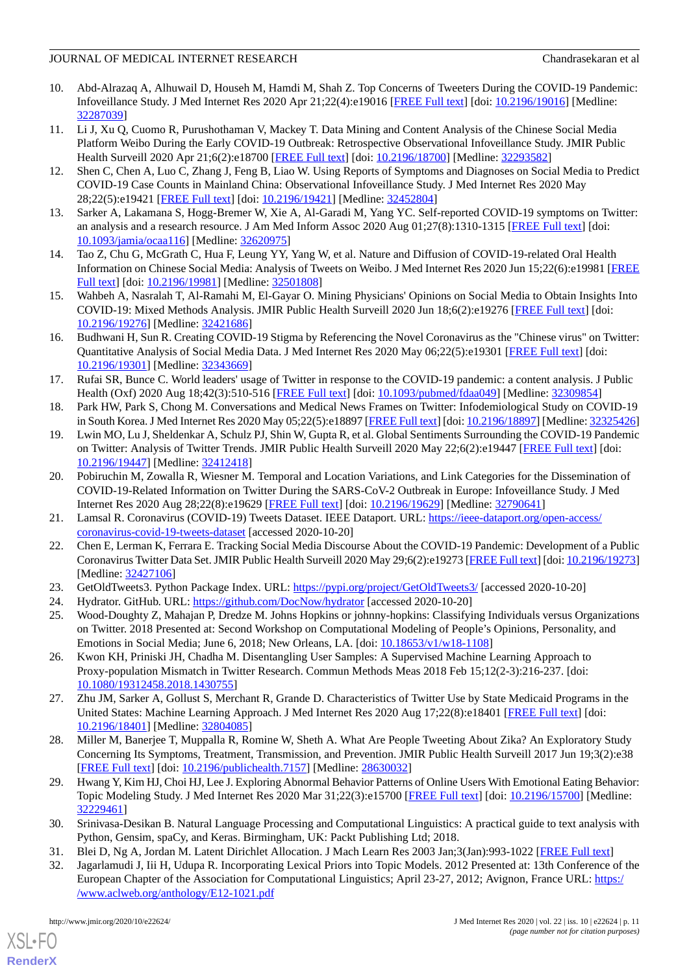- <span id="page-10-0"></span>10. Abd-Alrazaq A, Alhuwail D, Househ M, Hamdi M, Shah Z. Top Concerns of Tweeters During the COVID-19 Pandemic: Infoveillance Study. J Med Internet Res 2020 Apr 21;22(4):e19016 [\[FREE Full text\]](https://www.jmir.org/2020/4/e19016/) [doi: [10.2196/19016](http://dx.doi.org/10.2196/19016)] [Medline: [32287039](http://www.ncbi.nlm.nih.gov/entrez/query.fcgi?cmd=Retrieve&db=PubMed&list_uids=32287039&dopt=Abstract)]
- <span id="page-10-1"></span>11. Li J, Xu Q, Cuomo R, Purushothaman V, Mackey T. Data Mining and Content Analysis of the Chinese Social Media Platform Weibo During the Early COVID-19 Outbreak: Retrospective Observational Infoveillance Study. JMIR Public Health Surveill 2020 Apr 21;6(2):e18700 [[FREE Full text](https://publichealth.jmir.org/2020/2/e18700/)] [doi: [10.2196/18700\]](http://dx.doi.org/10.2196/18700) [Medline: [32293582](http://www.ncbi.nlm.nih.gov/entrez/query.fcgi?cmd=Retrieve&db=PubMed&list_uids=32293582&dopt=Abstract)]
- <span id="page-10-2"></span>12. Shen C, Chen A, Luo C, Zhang J, Feng B, Liao W. Using Reports of Symptoms and Diagnoses on Social Media to Predict COVID-19 Case Counts in Mainland China: Observational Infoveillance Study. J Med Internet Res 2020 May 28;22(5):e19421 [\[FREE Full text](https://www.jmir.org/2020/5/e19421/)] [doi: [10.2196/19421\]](http://dx.doi.org/10.2196/19421) [Medline: [32452804\]](http://www.ncbi.nlm.nih.gov/entrez/query.fcgi?cmd=Retrieve&db=PubMed&list_uids=32452804&dopt=Abstract)
- <span id="page-10-4"></span><span id="page-10-3"></span>13. Sarker A, Lakamana S, Hogg-Bremer W, Xie A, Al-Garadi M, Yang YC. Self-reported COVID-19 symptoms on Twitter: an analysis and a research resource. J Am Med Inform Assoc 2020 Aug 01;27(8):1310-1315 [\[FREE Full text\]](http://europepmc.org/abstract/MED/32620975) [doi: [10.1093/jamia/ocaa116](http://dx.doi.org/10.1093/jamia/ocaa116)] [Medline: [32620975\]](http://www.ncbi.nlm.nih.gov/entrez/query.fcgi?cmd=Retrieve&db=PubMed&list_uids=32620975&dopt=Abstract)
- <span id="page-10-5"></span>14. Tao Z, Chu G, McGrath C, Hua F, Leung YY, Yang W, et al. Nature and Diffusion of COVID-19-related Oral Health Information on Chinese Social Media: Analysis of Tweets on Weibo. J Med Internet Res 2020 Jun 15;22(6):e19981 [\[FREE](https://www.jmir.org/2020/6/e19981/) [Full text\]](https://www.jmir.org/2020/6/e19981/) [doi: [10.2196/19981\]](http://dx.doi.org/10.2196/19981) [Medline: [32501808](http://www.ncbi.nlm.nih.gov/entrez/query.fcgi?cmd=Retrieve&db=PubMed&list_uids=32501808&dopt=Abstract)]
- <span id="page-10-6"></span>15. Wahbeh A, Nasralah T, Al-Ramahi M, El-Gayar O. Mining Physicians' Opinions on Social Media to Obtain Insights Into COVID-19: Mixed Methods Analysis. JMIR Public Health Surveill 2020 Jun 18;6(2):e19276 [\[FREE Full text\]](https://publichealth.jmir.org/2020/2/e19276/) [doi: [10.2196/19276\]](http://dx.doi.org/10.2196/19276) [Medline: [32421686\]](http://www.ncbi.nlm.nih.gov/entrez/query.fcgi?cmd=Retrieve&db=PubMed&list_uids=32421686&dopt=Abstract)
- <span id="page-10-7"></span>16. Budhwani H, Sun R. Creating COVID-19 Stigma by Referencing the Novel Coronavirus as the "Chinese virus" on Twitter: Quantitative Analysis of Social Media Data. J Med Internet Res 2020 May 06;22(5):e19301 [[FREE Full text](https://www.jmir.org/2020/5/e19301/)] [doi: [10.2196/19301\]](http://dx.doi.org/10.2196/19301) [Medline: [32343669\]](http://www.ncbi.nlm.nih.gov/entrez/query.fcgi?cmd=Retrieve&db=PubMed&list_uids=32343669&dopt=Abstract)
- <span id="page-10-9"></span><span id="page-10-8"></span>17. Rufai SR, Bunce C. World leaders' usage of Twitter in response to the COVID-19 pandemic: a content analysis. J Public Health (Oxf) 2020 Aug 18;42(3):510-516 [[FREE Full text](http://europepmc.org/abstract/MED/32309854)] [doi: [10.1093/pubmed/fdaa049](http://dx.doi.org/10.1093/pubmed/fdaa049)] [Medline: [32309854\]](http://www.ncbi.nlm.nih.gov/entrez/query.fcgi?cmd=Retrieve&db=PubMed&list_uids=32309854&dopt=Abstract)
- 18. Park HW, Park S, Chong M. Conversations and Medical News Frames on Twitter: Infodemiological Study on COVID-19 in South Korea. J Med Internet Res 2020 May 05;22(5):e18897 [[FREE Full text\]](https://www.jmir.org/2020/5/e18897/) [doi: [10.2196/18897](http://dx.doi.org/10.2196/18897)] [Medline: [32325426\]](http://www.ncbi.nlm.nih.gov/entrez/query.fcgi?cmd=Retrieve&db=PubMed&list_uids=32325426&dopt=Abstract)
- <span id="page-10-10"></span>19. Lwin MO, Lu J, Sheldenkar A, Schulz PJ, Shin W, Gupta R, et al. Global Sentiments Surrounding the COVID-19 Pandemic on Twitter: Analysis of Twitter Trends. JMIR Public Health Surveill 2020 May 22;6(2):e19447 [\[FREE Full text\]](https://publichealth.jmir.org/2020/2/e19447/) [doi: [10.2196/19447\]](http://dx.doi.org/10.2196/19447) [Medline: [32412418\]](http://www.ncbi.nlm.nih.gov/entrez/query.fcgi?cmd=Retrieve&db=PubMed&list_uids=32412418&dopt=Abstract)
- <span id="page-10-12"></span><span id="page-10-11"></span>20. Pobiruchin M, Zowalla R, Wiesner M. Temporal and Location Variations, and Link Categories for the Dissemination of COVID-19-Related Information on Twitter During the SARS-CoV-2 Outbreak in Europe: Infoveillance Study. J Med Internet Res 2020 Aug 28;22(8):e19629 [\[FREE Full text\]](https://www.jmir.org/2020/8/e19629/) [doi: [10.2196/19629](http://dx.doi.org/10.2196/19629)] [Medline: [32790641](http://www.ncbi.nlm.nih.gov/entrez/query.fcgi?cmd=Retrieve&db=PubMed&list_uids=32790641&dopt=Abstract)]
- <span id="page-10-13"></span>21. Lamsal R. Coronavirus (COVID-19) Tweets Dataset. IEEE Dataport. URL: [https://ieee-dataport.org/open-access/](https://ieee-dataport.org/open-access/coronavirus-covid-19-tweets-dataset) [coronavirus-covid-19-tweets-dataset](https://ieee-dataport.org/open-access/coronavirus-covid-19-tweets-dataset) [accessed 2020-10-20]
- <span id="page-10-15"></span><span id="page-10-14"></span>22. Chen E, Lerman K, Ferrara E. Tracking Social Media Discourse About the COVID-19 Pandemic: Development of a Public Coronavirus Twitter Data Set. JMIR Public Health Surveill 2020 May 29;6(2):e19273 [[FREE Full text](https://publichealth.jmir.org/2020/2/e19273/)] [doi: [10.2196/19273\]](http://dx.doi.org/10.2196/19273) [Medline: [32427106](http://www.ncbi.nlm.nih.gov/entrez/query.fcgi?cmd=Retrieve&db=PubMed&list_uids=32427106&dopt=Abstract)]
- <span id="page-10-16"></span>23. GetOldTweets3. Python Package Index. URL:<https://pypi.org/project/GetOldTweets3/> [accessed 2020-10-20]
- 24. Hydrator. GitHub. URL: <https://github.com/DocNow/hydrator> [accessed 2020-10-20]
- <span id="page-10-17"></span>25. Wood-Doughty Z, Mahajan P, Dredze M. Johns Hopkins or johnny-hopkins: Classifying Individuals versus Organizations on Twitter. 2018 Presented at: Second Workshop on Computational Modeling of People's Opinions, Personality, and Emotions in Social Media; June 6, 2018; New Orleans, LA. [doi: [10.18653/v1/w18-1108\]](http://dx.doi.org/10.18653/v1/w18-1108)
- 26. Kwon KH, Priniski JH, Chadha M. Disentangling User Samples: A Supervised Machine Learning Approach to Proxy-population Mismatch in Twitter Research. Commun Methods Meas 2018 Feb 15;12(2-3):216-237. [doi: [10.1080/19312458.2018.1430755\]](http://dx.doi.org/10.1080/19312458.2018.1430755)
- <span id="page-10-18"></span>27. Zhu JM, Sarker A, Gollust S, Merchant R, Grande D. Characteristics of Twitter Use by State Medicaid Programs in the United States: Machine Learning Approach. J Med Internet Res 2020 Aug 17;22(8):e18401 [[FREE Full text](https://www.jmir.org/2020/8/e18401/)] [doi: [10.2196/18401\]](http://dx.doi.org/10.2196/18401) [Medline: [32804085\]](http://www.ncbi.nlm.nih.gov/entrez/query.fcgi?cmd=Retrieve&db=PubMed&list_uids=32804085&dopt=Abstract)
- <span id="page-10-19"></span>28. Miller M, Banerjee T, Muppalla R, Romine W, Sheth A. What Are People Tweeting About Zika? An Exploratory Study Concerning Its Symptoms, Treatment, Transmission, and Prevention. JMIR Public Health Surveill 2017 Jun 19;3(2):e38 [[FREE Full text](https://publichealth.jmir.org/2017/2/e38/)] [doi: [10.2196/publichealth.7157\]](http://dx.doi.org/10.2196/publichealth.7157) [Medline: [28630032](http://www.ncbi.nlm.nih.gov/entrez/query.fcgi?cmd=Retrieve&db=PubMed&list_uids=28630032&dopt=Abstract)]
- <span id="page-10-21"></span><span id="page-10-20"></span>29. Hwang Y, Kim HJ, Choi HJ, Lee J. Exploring Abnormal Behavior Patterns of Online Users With Emotional Eating Behavior: Topic Modeling Study. J Med Internet Res 2020 Mar 31;22(3):e15700 [\[FREE Full text\]](https://www.jmir.org/2020/3/e15700/) [doi: [10.2196/15700](http://dx.doi.org/10.2196/15700)] [Medline: [32229461](http://www.ncbi.nlm.nih.gov/entrez/query.fcgi?cmd=Retrieve&db=PubMed&list_uids=32229461&dopt=Abstract)]
- 30. Srinivasa-Desikan B. Natural Language Processing and Computational Linguistics: A practical guide to text analysis with Python, Gensim, spaCy, and Keras. Birmingham, UK: Packt Publishing Ltd; 2018.
- 31. Blei D, Ng A, Jordan M. Latent Dirichlet Allocation. J Mach Learn Res 2003 Jan;3(Jan):993-1022 [[FREE Full text](https://www.jmlr.org/papers/volume3/blei03a/blei03a.pdf)]
- 32. Jagarlamudi J, Iii H, Udupa R. Incorporating Lexical Priors into Topic Models. 2012 Presented at: 13th Conference of the European Chapter of the Association for Computational Linguistics; April 23-27, 2012; Avignon, France URL: [https:/](https://www.aclweb.org/anthology/E12-1021.pdf) [/www.aclweb.org/anthology/E12-1021.pdf](https://www.aclweb.org/anthology/E12-1021.pdf)